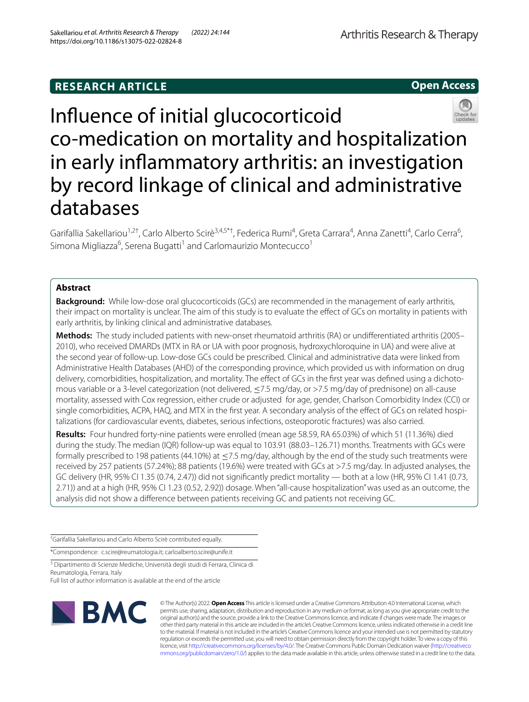## **RESEARCH ARTICLE**





Infuence of initial glucocorticoid co-medication on mortality and hospitalization in early infammatory arthritis: an investigation by record linkage of clinical and administrative databases

Garifallia Sakellariou<sup>1,2†</sup>, Carlo Alberto Scirè<sup>3,4,5\*†</sup>, Federica Rumi<sup>4</sup>, Greta Carrara<sup>4</sup>, Anna Zanetti<sup>4</sup>, Carlo Cerra<sup>6</sup>, Simona Migliazza<sup>6</sup>, Serena Bugatti<sup>1</sup> and Carlomaurizio Montecucco<sup>1</sup>

## **Abstract**

**Background:** While low-dose oral glucocorticoids (GCs) are recommended in the management of early arthritis, their impact on mortality is unclear. The aim of this study is to evaluate the efect of GCs on mortality in patients with early arthritis, by linking clinical and administrative databases.

**Methods:** The study included patients with new-onset rheumatoid arthritis (RA) or undiferentiated arthritis (2005– 2010), who received DMARDs (MTX in RA or UA with poor prognosis, hydroxychloroquine in UA) and were alive at the second year of follow-up. Low-dose GCs could be prescribed. Clinical and administrative data were linked from Administrative Health Databases (AHD) of the corresponding province, which provided us with information on drug delivery, comorbidities, hospitalization, and mortality. The effect of GCs in the first year was defined using a dichotomous variable or a 3-level categorization (not delivered, ≤7.5 mg/day, or >7.5 mg/day of prednisone) on all-cause mortality, assessed with Cox regression, either crude or adjusted for age, gender, Charlson Comorbidity Index (CCI) or single comorbidities, ACPA, HAQ, and MTX in the first year. A secondary analysis of the effect of GCs on related hospitalizations (for cardiovascular events, diabetes, serious infections, osteoporotic fractures) was also carried.

**Results:** Four hundred forty-nine patients were enrolled (mean age 58.59, RA 65.03%) of which 51 (11.36%) died during the study. The median (IQR) follow-up was equal to 103.91 (88.03–126.71) months. Treatments with GCs were formally prescribed to 198 patients (44.10%) at  $\leq$ 7.5 mg/day, although by the end of the study such treatments were received by 257 patients (57.24%); 88 patients (19.6%) were treated with GCs at >7.5 mg/day. In adjusted analyses, the GC delivery (HR, 95% CI 1.35 (0.74, 2.47)) did not signifcantly predict mortality — both at a low (HR, 95% CI 1.41 (0.73, 2.71)) and at a high (HR, 95% CI 1.23 (0.52, 2.92)) dosage. When "all-cause hospitalization" was used as an outcome, the analysis did not show a diference between patients receiving GC and patients not receiving GC.

† Garifallia Sakellariou and Carlo Alberto Scirè contributed equally.

\*Correspondence: c.scire@reumatologia.it; carloalberto.scire@unife.it

<sup>3</sup> Dipartimento di Scienze Mediche, Università degli studi di Ferrara, Clinica di Reumatologia, Ferrara, Italy

Full list of author information is available at the end of the article



© The Author(s) 2022. **Open Access** This article is licensed under a Creative Commons Attribution 4.0 International License, which permits use, sharing, adaptation, distribution and reproduction in any medium or format, as long as you give appropriate credit to the original author(s) and the source, provide a link to the Creative Commons licence, and indicate if changes were made. The images or other third party material in this article are included in the article's Creative Commons licence, unless indicated otherwise in a credit line to the material. If material is not included in the article's Creative Commons licence and your intended use is not permitted by statutory regulation or exceeds the permitted use, you will need to obtain permission directly from the copyright holder. To view a copy of this licence, visit [http://creativecommons.org/licenses/by/4.0/.](http://creativecommons.org/licenses/by/4.0/) The Creative Commons Public Domain Dedication waiver ([http://creativeco](http://creativecommons.org/publicdomain/zero/1.0/) [mmons.org/publicdomain/zero/1.0/](http://creativecommons.org/publicdomain/zero/1.0/)) applies to the data made available in this article, unless otherwise stated in a credit line to the data.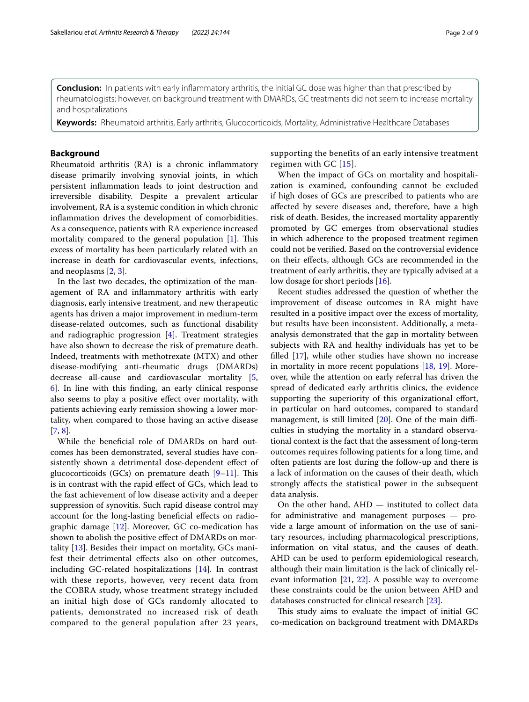**Conclusion:** In patients with early infammatory arthritis, the initial GC dose was higher than that prescribed by rheumatologists; however, on background treatment with DMARDs, GC treatments did not seem to increase mortality and hospitalizations.

**Keywords:** Rheumatoid arthritis, Early arthritis, Glucocorticoids, Mortality, Administrative Healthcare Databases

## **Background**

Rheumatoid arthritis (RA) is a chronic infammatory disease primarily involving synovial joints, in which persistent infammation leads to joint destruction and irreversible disability. Despite a prevalent articular involvement, RA is a systemic condition in which chronic infammation drives the development of comorbidities. As a consequence, patients with RA experience increased mortality compared to the general population  $[1]$  $[1]$ . This excess of mortality has been particularly related with an increase in death for cardiovascular events, infections, and neoplasms [\[2](#page-8-1), [3\]](#page-8-2).

In the last two decades, the optimization of the management of RA and infammatory arthritis with early diagnosis, early intensive treatment, and new therapeutic agents has driven a major improvement in medium-term disease-related outcomes, such as functional disability and radiographic progression [\[4](#page-8-3)]. Treatment strategies have also shown to decrease the risk of premature death. Indeed, treatments with methotrexate (MTX) and other disease-modifying anti-rheumatic drugs (DMARDs) decrease all-cause and cardiovascular mortality [\[5](#page-8-4), [6\]](#page-8-5). In line with this fnding, an early clinical response also seems to play a positive efect over mortality, with patients achieving early remission showing a lower mortality, when compared to those having an active disease [[7,](#page-8-6) [8](#page-8-7)].

While the benefcial role of DMARDs on hard outcomes has been demonstrated, several studies have consistently shown a detrimental dose-dependent efect of glucocorticoids (GCs) on premature death  $[9-11]$  $[9-11]$ . This is in contrast with the rapid efect of GCs, which lead to the fast achievement of low disease activity and a deeper suppression of synovitis. Such rapid disease control may account for the long-lasting benefcial efects on radiographic damage [\[12](#page-8-10)]. Moreover, GC co-medication has shown to abolish the positive efect of DMARDs on mortality [[13](#page-8-11)]. Besides their impact on mortality, GCs manifest their detrimental efects also on other outcomes, including GC-related hospitalizations [\[14](#page-8-12)]. In contrast with these reports, however, very recent data from the COBRA study, whose treatment strategy included an initial high dose of GCs randomly allocated to patients, demonstrated no increased risk of death compared to the general population after 23 years,

supporting the benefits of an early intensive treatment regimen with GC [\[15\]](#page-8-13).

When the impact of GCs on mortality and hospitalization is examined, confounding cannot be excluded if high doses of GCs are prescribed to patients who are afected by severe diseases and, therefore, have a high risk of death. Besides, the increased mortality apparently promoted by GC emerges from observational studies in which adherence to the proposed treatment regimen could not be verifed. Based on the controversial evidence on their efects, although GCs are recommended in the treatment of early arthritis, they are typically advised at a low dosage for short periods [[16\]](#page-8-14).

Recent studies addressed the question of whether the improvement of disease outcomes in RA might have resulted in a positive impact over the excess of mortality, but results have been inconsistent. Additionally, a metaanalysis demonstrated that the gap in mortality between subjects with RA and healthy individuals has yet to be flled [\[17](#page-8-15)], while other studies have shown no increase in mortality in more recent populations [\[18](#page-8-16), [19\]](#page-8-17). Moreover, while the attention on early referral has driven the spread of dedicated early arthritis clinics, the evidence supporting the superiority of this organizational effort, in particular on hard outcomes, compared to standard management, is still limited  $[20]$  $[20]$ . One of the main difficulties in studying the mortality in a standard observational context is the fact that the assessment of long-term outcomes requires following patients for a long time, and often patients are lost during the follow-up and there is a lack of information on the causes of their death, which strongly afects the statistical power in the subsequent data analysis.

On the other hand, AHD — instituted to collect data for administrative and management purposes — provide a large amount of information on the use of sanitary resources, including pharmacological prescriptions, information on vital status, and the causes of death. AHD can be used to perform epidemiological research, although their main limitation is the lack of clinically relevant information  $[21, 22]$  $[21, 22]$  $[21, 22]$ . A possible way to overcome these constraints could be the union between AHD and databases constructed for clinical research [\[23\]](#page-8-21).

This study aims to evaluate the impact of initial GC co-medication on background treatment with DMARDs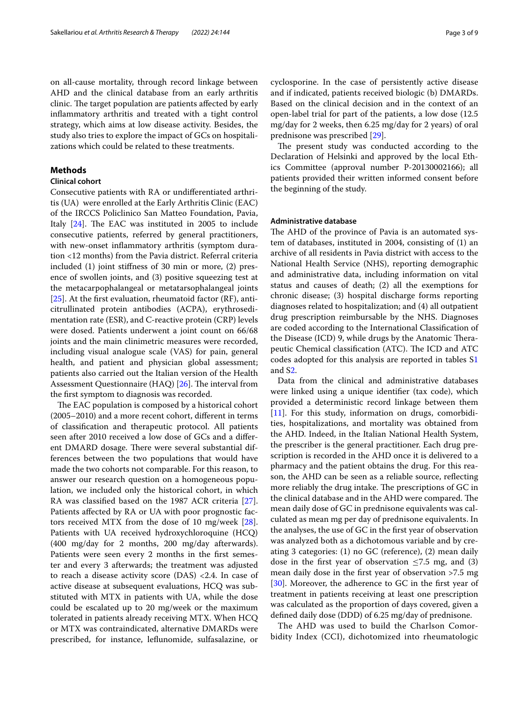on all-cause mortality, through record linkage between AHD and the clinical database from an early arthritis clinic. The target population are patients affected by early infammatory arthritis and treated with a tight control strategy, which aims at low disease activity. Besides, the study also tries to explore the impact of GCs on hospitalizations which could be related to these treatments.

## **Methods**

## **Clinical cohort**

Consecutive patients with RA or undiferentiated arthritis (UA) were enrolled at the Early Arthritis Clinic (EAC) of the IRCCS Policlinico San Matteo Foundation, Pavia, Italy  $[24]$  $[24]$ . The EAC was instituted in 2005 to include consecutive patients, referred by general practitioners, with new-onset infammatory arthritis (symptom duration <12 months) from the Pavia district. Referral criteria included (1) joint stifness of 30 min or more, (2) presence of swollen joints, and (3) positive squeezing test at the metacarpophalangeal or metatarsophalangeal joints [[25\]](#page-8-23). At the frst evaluation, rheumatoid factor (RF), anticitrullinated protein antibodies (ACPA), erythrosedimentation rate (ESR), and C-reactive protein (CRP) levels were dosed. Patients underwent a joint count on 66/68 joints and the main clinimetric measures were recorded, including visual analogue scale (VAS) for pain, general health, and patient and physician global assessment; patients also carried out the Italian version of the Health Assessment Questionnaire (HAQ)  $[26]$  $[26]$ . The interval from the frst symptom to diagnosis was recorded.

The EAC population is composed by a historical cohort (2005–2010) and a more recent cohort, diferent in terms of classifcation and therapeutic protocol. All patients seen after 2010 received a low dose of GCs and a diferent DMARD dosage. There were several substantial differences between the two populations that would have made the two cohorts not comparable. For this reason, to answer our research question on a homogeneous population, we included only the historical cohort, in which RA was classifed based on the 1987 ACR criteria [\[27](#page-8-25)]. Patients afected by RA or UA with poor prognostic factors received MTX from the dose of 10 mg/week [\[28](#page-8-26)]. Patients with UA received hydroxychloroquine (HCQ) (400 mg/day for 2 months, 200 mg/day afterwards). Patients were seen every 2 months in the frst semester and every 3 afterwards; the treatment was adjusted to reach a disease activity score (DAS) <2.4. In case of active disease at subsequent evaluations, HCQ was substituted with MTX in patients with UA, while the dose could be escalated up to 20 mg/week or the maximum tolerated in patients already receiving MTX. When HCQ or MTX was contraindicated, alternative DMARDs were prescribed, for instance, lefunomide, sulfasalazine, or cyclosporine. In the case of persistently active disease and if indicated, patients received biologic (b) DMARDs. Based on the clinical decision and in the context of an open-label trial for part of the patients, a low dose (12.5 mg/day for 2 weeks, then 6.25 mg/day for 2 years) of oral prednisone was prescribed [[29](#page-8-27)].

The present study was conducted according to the Declaration of Helsinki and approved by the local Ethics Committee (approval number P-20130002166); all patients provided their written informed consent before the beginning of the study.

## **Administrative database**

The AHD of the province of Pavia is an automated system of databases, instituted in 2004, consisting of (1) an archive of all residents in Pavia district with access to the National Health Service (NHS), reporting demographic and administrative data, including information on vital status and causes of death; (2) all the exemptions for chronic disease; (3) hospital discharge forms reporting diagnoses related to hospitalization; and (4) all outpatient drug prescription reimbursable by the NHS. Diagnoses are coded according to the International Classifcation of the Disease (ICD) 9, while drugs by the Anatomic Therapeutic Chemical classification (ATC). The ICD and ATC codes adopted for this analysis are reported in tables S[1](#page-7-0) and [S2](#page-7-0).

Data from the clinical and administrative databases were linked using a unique identifer (tax code), which provided a deterministic record linkage between them [[11\]](#page-8-9). For this study, information on drugs, comorbidities, hospitalizations, and mortality was obtained from the AHD. Indeed, in the Italian National Health System, the prescriber is the general practitioner. Each drug prescription is recorded in the AHD once it is delivered to a pharmacy and the patient obtains the drug. For this reason, the AHD can be seen as a reliable source, refecting more reliably the drug intake. The prescriptions of GC in the clinical database and in the AHD were compared. The mean daily dose of GC in prednisone equivalents was calculated as mean mg per day of prednisone equivalents. In the analyses, the use of GC in the frst year of observation was analyzed both as a dichotomous variable and by creating 3 categories: (1) no GC (reference), (2) mean daily dose in the first year of observation  $\leq$ 7.5 mg, and (3) mean daily dose in the frst year of observation >7.5 mg [[30\]](#page-8-28). Moreover, the adherence to GC in the first year of treatment in patients receiving at least one prescription was calculated as the proportion of days covered, given a defned daily dose (DDD) of 6.25 mg/day of prednisone.

The AHD was used to build the Charlson Comorbidity Index (CCI), dichotomized into rheumatologic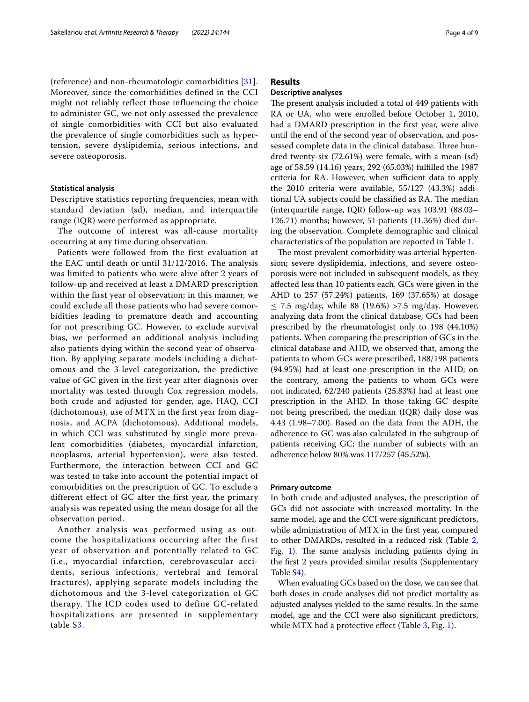(reference) and non-rheumatologic comorbidities [[31\]](#page-8-29). Moreover, since the comorbidities defined in the CCI might not reliably reflect those influencing the choice to administer GC, we not only assessed the prevalence of single comorbidities with CCI but also evaluated the prevalence of single comorbidities such as hypertension, severe dyslipidemia, serious infections, and severe osteoporosis.

## **Statistical analysis**

Descriptive statistics reporting frequencies, mean with standard deviation (sd), median, and interquartile range (IQR) were performed as appropriate.

The outcome of interest was all-cause mortality occurring at any time during observation.

Patients were followed from the first evaluation at the EAC until death or until 31/12/2016. The analysis was limited to patients who were alive after 2 years of follow-up and received at least a DMARD prescription within the first year of observation; in this manner, we could exclude all those patients who had severe comorbidities leading to premature death and accounting for not prescribing GC. However, to exclude survival bias, we performed an additional analysis including also patients dying within the second year of observation. By applying separate models including a dichotomous and the 3-level categorization, the predictive value of GC given in the first year after diagnosis over mortality was tested through Cox regression models, both crude and adjusted for gender, age, HAQ, CCI (dichotomous), use of MTX in the first year from diagnosis, and ACPA (dichotomous). Additional models, in which CCI was substituted by single more prevalent comorbidities (diabetes, myocardial infarction, neoplasms, arterial hypertension), were also tested. Furthermore, the interaction between CCI and GC was tested to take into account the potential impact of comorbidities on the prescription of GC. To exclude a different effect of GC after the first year, the primary analysis was repeated using the mean dosage for all the observation period.

Another analysis was performed using as outcome the hospitalizations occurring after the first year of observation and potentially related to GC (i.e., myocardial infarction, cerebrovascular accidents, serious infections, vertebral and femoral fractures), applying separate models including the dichotomous and the 3-level categorization of GC therapy. The ICD codes used to define GC-related hospitalizations are presented in supplementary table S[3.](#page-7-0)

## **Results**

#### **Descriptive analyses**

The present analysis included a total of 449 patients with RA or UA, who were enrolled before October 1, 2010, had a DMARD prescription in the frst year, were alive until the end of the second year of observation, and possessed complete data in the clinical database. Three hundred twenty-six (72.61%) were female, with a mean (sd) age of 58.59 (14.16) years; 292 (65.03%) fulflled the 1987 criteria for RA. However, when sufficient data to apply the 2010 criteria were available, 55/127 (43.3%) additional UA subjects could be classified as RA. The median (interquartile range, IQR) follow-up was 103.91 (88.03– 126.71) months; however, 51 patients (11.36%) died during the observation. Complete demographic and clinical characteristics of the population are reported in Table [1](#page-4-0).

The most prevalent comorbidity was arterial hypertension; severe dyslipidemia, infections, and severe osteoporosis were not included in subsequent models, as they afected less than 10 patients each. GCs were given in the AHD to 257 (57.24%) patients, 169 (37.65%) at dosage  $\leq$  7.5 mg/day, while 88 (19.6%)  $>$ 7.5 mg/day. However, analyzing data from the clinical database, GCs had been prescribed by the rheumatologist only to 198 (44.10%) patients. When comparing the prescription of GCs in the clinical database and AHD, we observed that, among the patients to whom GCs were prescribed, 188/198 patients (94.95%) had at least one prescription in the AHD; on the contrary, among the patients to whom GCs were not indicated, 62/240 patients (25.83%) had at least one prescription in the AHD. In those taking GC despite not being prescribed, the median (IQR) daily dose was 4.43 (1.98–7.00). Based on the data from the ADH, the adherence to GC was also calculated in the subgroup of patients receiving GC; the number of subjects with an adherence below 80% was 117/257 (45.52%).

#### **Primary outcome**

In both crude and adjusted analyses, the prescription of GCs did not associate with increased mortality. In the same model, age and the CCI were signifcant predictors, while administration of MTX in the frst year, compared to other DMARDs, resulted in a reduced risk (Table [2](#page-4-1), Fig.  $1$ ). The same analysis including patients dying in the frst 2 years provided similar results (Supplementary Table [S4](#page-7-0)).

When evaluating GCs based on the dose, we can see that both doses in crude analyses did not predict mortality as adjusted analyses yielded to the same results. In the same model, age and the CCI were also signifcant predictors, while MTX had a protective effect (Table [3](#page-5-1), Fig. [1](#page-5-0)).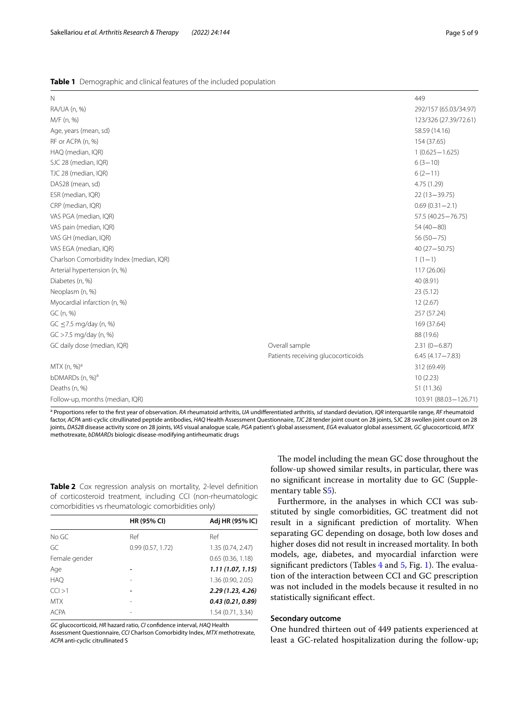a Proportions refer to the frst year of observation. *RA* rheumatoid arthritis, *UA* undiferentiated arthritis, *sd* standard deviation, *IQR* interquartile range, *RF* rheumatoid factor, *ACPA* anti-cyclic citrullinated peptide antibodies, *HAQ* Health Assessment Questionnaire, *TJC 28* tender joint count on 28 joints, SJC 28 swollen joint count on 28 joints, *DAS28* disease activity score on 28 joints, *VAS* visual analogue scale, *PGA* patient's global assessment, *EGA* evaluator global assessment, *GC* glucocorticoid, *MTX* methotrexate, *bDMARDs* biologic disease-modifying antirheumatic drugs

<span id="page-4-0"></span>

| N                                        |                                    | 449                   |
|------------------------------------------|------------------------------------|-----------------------|
| RA/UA (n, %)                             |                                    | 292/157 (65.03/34.97) |
| M/F (n, %)                               |                                    | 123/326 (27.39/72.61) |
| Age, years (mean, sd)                    |                                    | 58.59 (14.16)         |
| RF or ACPA (n, %)                        |                                    | 154 (37.65)           |
| HAQ (median, IQR)                        |                                    | $1(0.625 - 1.625)$    |
|                                          |                                    |                       |
| SJC 28 (median, IQR)                     |                                    | $6(3-10)$             |
| TJC 28 (median, IQR)                     |                                    | $6(2-11)$             |
| DAS28 (mean, sd)                         |                                    | 4.75 (1.29)           |
| ESR (median, IQR)                        |                                    | $22(13 - 39.75)$      |
| CRP (median, IQR)                        |                                    | $0.69(0.31 - 2.1)$    |
| VAS PGA (median, IQR)                    |                                    | 57.5 (40.25 - 76.75)  |
| VAS pain (median, IQR)                   |                                    | $54(40 - 80)$         |
| VAS GH (median, IQR)                     |                                    | $56(50 - 75)$         |
| VAS EGA (median, IQR)                    |                                    | $40(27 - 50.75)$      |
| Charlson Comorbidity Index (median, IQR) |                                    | $1(1-1)$              |
| Arterial hypertension (n, %)             |                                    | 117 (26.06)           |
| Diabetes (n, %)                          |                                    | 40 (8.91)             |
| Neoplasm (n, %)                          |                                    | 23(5.12)              |
| Myocardial infarction (n, %)             |                                    | 12(2.67)              |
| GC (n, %)                                |                                    | 257 (57.24)           |
| $GC \le 7.5$ mg/day (n, %)               |                                    | 169 (37.64)           |
| GC >7.5 mg/day (n, %)                    |                                    | 88 (19.6)             |
| GC daily dose (median, IQR)              | Overall sample                     | $2.31(0 - 6.87)$      |
|                                          | Patients receiving glucocorticoids | $6.45(4.17 - 7.83)$   |
| MTX (n, %) <sup>a</sup>                  |                                    | 312 (69.49)           |
| bDMARDs (n, %) <sup>a</sup>              |                                    | 10(2.23)              |
| Deaths (n, %)                            |                                    | 51 (11.36)            |
| Follow-up, months (median, IQR)          |                                    | 103.91 (88.03-126.71) |
|                                          |                                    |                       |

**Table 2** Cox regression analysis on mortality, 2-level definition

<span id="page-4-1"></span>of corticosteroid treatment, including CCI (non-rheumatologic comorbidities vs rheumatologic comorbidities only)

| <b>HR (95% CI)</b> | Adj HR (95% IC)   |
|--------------------|-------------------|
| Ref                | Ref               |
| 0.99(0.57, 1.72)   | 1.35 (0.74, 2.47) |
|                    | 0.65(0.36, 1.18)  |
|                    | 1.11(1.07, 1.15)  |
|                    | 1.36 (0.90, 2.05) |
|                    | 2.29(1.23, 4.26)  |
|                    | 0.43(0.21, 0.89)  |
|                    | 1.54 (0.71, 3.34) |
|                    |                   |

*GC* glucocorticoid, *HR* hazard ratio, *CI* confdence interval, *HAQ* Health Assessment Questionnaire, *CCI* Charlson Comorbidity Index, *MTX* methotrexate,

*ACPA* anti-cyclic citrullinated S

The model including the mean GC dose throughout the follow-up showed similar results, in particular, there was no signifcant increase in mortality due to GC (Supplementary table S[5\)](#page-7-0).

Furthermore, in the analyses in which CCI was substituted by single comorbidities, GC treatment did not result in a signifcant prediction of mortality. When separating GC depending on dosage, both low doses and higher doses did not result in increased mortality. In both models, age, diabetes, and myocardial infarction were significant predictors (Tables  $4$  and  $5$ , Fig. [1\)](#page-5-0). The evaluation of the interaction between CCI and GC prescription was not included in the models because it resulted in no statistically signifcant efect.

## **Secondary outcome**

One hundred thirteen out of 449 patients experienced at least a GC-related hospitalization during the follow-up;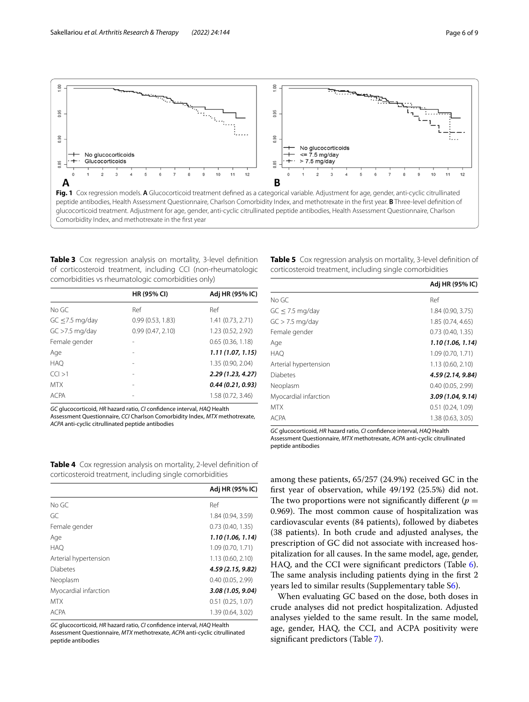

<span id="page-5-1"></span><span id="page-5-0"></span>**Table 3** Cox regression analysis on mortality, 3-level definition of corticosteroid treatment, including CCI (non-rheumatologic comorbidities vs rheumatologic comorbidities only)

|                     | <b>HR (95% CI)</b> | Adj HR (95% IC)   |
|---------------------|--------------------|-------------------|
| No GC               | Ref                | Ref               |
| $GC \le 7.5$ mg/day | 0.99(0.53, 1.83)   | 1.41 (0.73, 2.71) |
| $GC > 7.5$ mg/day   | 0.99(0.47, 2.10)   | 1.23 (0.52, 2.92) |
| Female gender       |                    | 0.65(0.36, 1.18)  |
| Age                 |                    | 1.11(1.07, 1.15)  |
| <b>HAQ</b>          |                    | 1.35 (0.90, 2.04) |
| CCI > 1             |                    | 2.29 (1.23, 4.27) |
| <b>MTX</b>          |                    | 0.44(0.21, 0.93)  |
| <b>ACPA</b>         |                    | 1.58 (0.72, 3.46) |

*GC* glucocorticoid, *HR* hazard ratio, *CI* confdence interval, *HAQ* Health Assessment Questionnaire, *CCI* Charlson Comorbidity Index, *MTX* methotrexate, *ACPA* anti-cyclic citrullinated peptide antibodies

<span id="page-5-2"></span>**Table 4** Cox regression analysis on mortality, 2-level definition of corticosteroid treatment, including single comorbidities

| Adj HR (95% IC)   |
|-------------------|
| Ref               |
| 1.84 (0.94, 3.59) |
| 0.73(0.40, 1.35)  |
| 1.10(1.06, 1.14)  |
| 1.09 (0.70, 1.71) |
| 1.13(0.60, 2.10)  |
| 4.59 (2.15, 9.82) |
| 0.40(0.05, 2.99)  |
| 3.08 (1.05, 9.04) |
| 0.51(0.25, 1.07)  |
| 1.39 (0.64, 3.02) |
|                   |

*GC* glucocorticoid, *HR* hazard ratio, *CI* confdence interval, *HAQ* Health Assessment Questionnaire, *MTX* methotrexate, *ACPA* anti-cyclic citrullinated peptide antibodies

<span id="page-5-3"></span>**Table 5** Cox regression analysis on mortality, 3-level definition of corticosteroid treatment, including single comorbidities

|                       | Adj HR (95% IC)   |
|-----------------------|-------------------|
| No GC                 | Ref               |
| $GC \le 7.5$ mg/day   | 1.84 (0.90, 3.75) |
| $GC > 7.5$ mg/day     | 1.85 (0.74, 4.65) |
| Female gender         | 0.73(0.40, 1.35)  |
| Age                   | 1.10(1.06, 1.14)  |
| <b>HAO</b>            | 1.09(0.70, 1.71)  |
| Arterial hypertension | 1.13(0.60, 2.10)  |
| Diabetes              | 4.59 (2.14, 9.84) |
| Neoplasm              | 0.40(0.05, 2.99)  |
| Myocardial infarction | 3.09(1.04, 9.14)  |
| <b>MTX</b>            | 0.51(0.24, 1.09)  |
| <b>ACPA</b>           | 1.38 (0.63, 3.05) |

*GC* glucocorticoid, *HR* hazard ratio, *CI* confdence interval, *HAQ* Health Assessment Questionnaire, *MTX* methotrexate, *ACPA* anti-cyclic citrullinated peptide antibodies

among these patients, 65/257 (24.9%) received GC in the frst year of observation, while 49/192 (25.5%) did not. The two proportions were not significantly different  $(p =$ 0.969). The most common cause of hospitalization was cardiovascular events (84 patients), followed by diabetes (38 patients). In both crude and adjusted analyses, the prescription of GC did not associate with increased hospitalization for all causes. In the same model, age, gender, HAQ, and the CCI were signifcant predictors (Table [6](#page-6-0)). The same analysis including patients dying in the first 2 years led to similar results (Supplementary table [S6](#page-7-0)).

When evaluating GC based on the dose, both doses in crude analyses did not predict hospitalization. Adjusted analyses yielded to the same result. In the same model, age, gender, HAQ, the CCI, and ACPA positivity were signifcant predictors (Table [7](#page-6-1)).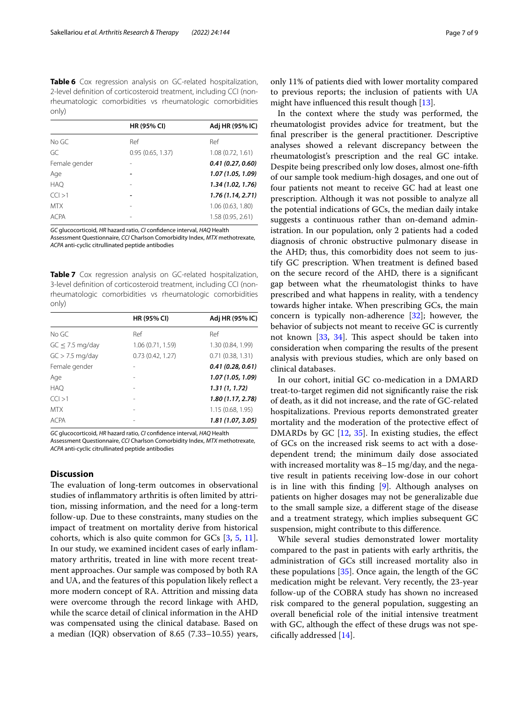<span id="page-6-0"></span>**Table 6** Cox regression analysis on GC-related hospitalization, 2-level defnition of corticosteroid treatment, including CCI (nonrheumatologic comorbidities vs rheumatologic comorbidities only)

|               | <b>HR (95% CI)</b> | Adj HR (95% IC)   |
|---------------|--------------------|-------------------|
| No GC         | Ref                | Ref               |
| GC            | 0.95(0.65, 1.37)   | 1.08(0.72, 1.61)  |
| Female gender |                    | 0.41(0.27, 0.60)  |
| Age           |                    | 1.07 (1.05, 1.09) |
| <b>HAQ</b>    |                    | 1.34 (1.02, 1.76) |
| CCI > 1       |                    | 1.76(1.14, 2.71)  |
| <b>MTX</b>    |                    | 1.06(0.63, 1.80)  |
| <b>ACPA</b>   |                    | 1.58 (0.95, 2.61) |
|               |                    |                   |

*GC* glucocorticoid, *HR* hazard ratio, *CI* confdence interval, *HAQ* Health Assessment Questionnaire, *CCI* Charlson Comorbidity Index, *MTX* methotrexate, *ACPA* anti-cyclic citrullinated peptide antibodies

<span id="page-6-1"></span>**Table 7** Cox regression analysis on GC-related hospitalization, 3-level defnition of corticosteroid treatment, including CCI (nonrheumatologic comorbidities vs rheumatologic comorbidities only)

|                     | HR (95% CI)       | Adj HR (95% IC)   |
|---------------------|-------------------|-------------------|
| No GC               | Ref               | Ref               |
| $GC \le 7.5$ mg/day | 1.06 (0.71, 1.59) | 1.30 (0.84, 1.99) |
| $GC > 7.5$ mg/day   | 0.73(0.42, 1.27)  | 0.71(0.38, 1.31)  |
| Female gender       |                   | 0.41(0.28, 0.61)  |
| Age                 |                   | 1.07 (1.05, 1.09) |
| <b>HAO</b>          |                   | 1.31(1, 1.72)     |
| CCI > 1             |                   | 1.80(1.17, 2.78)  |
| <b>MTX</b>          |                   | 1.15(0.68, 1.95)  |
| <b>ACPA</b>         |                   | 1.81 (1.07, 3.05) |

*GC* glucocorticoid, *HR* hazard ratio, *CI* confdence interval, *HAQ* Health Assessment Questionnaire, *CCI* Charlson Comorbidity Index, *MTX* methotrexate,

*ACPA* anti-cyclic citrullinated peptide antibodies

## **Discussion**

The evaluation of long-term outcomes in observational studies of infammatory arthritis is often limited by attrition, missing information, and the need for a long-term follow-up. Due to these constraints, many studies on the impact of treatment on mortality derive from historical cohorts, which is also quite common for GCs [\[3](#page-8-2), [5,](#page-8-4) [11](#page-8-9)]. In our study, we examined incident cases of early infammatory arthritis, treated in line with more recent treatment approaches. Our sample was composed by both RA and UA, and the features of this population likely refect a more modern concept of RA. Attrition and missing data were overcome through the record linkage with AHD, while the scarce detail of clinical information in the AHD was compensated using the clinical database. Based on a median (IQR) observation of 8.65 (7.33–10.55) years, only 11% of patients died with lower mortality compared to previous reports; the inclusion of patients with UA might have influenced this result though [\[13\]](#page-8-11).

In the context where the study was performed, the rheumatologist provides advice for treatment, but the fnal prescriber is the general practitioner. Descriptive analyses showed a relevant discrepancy between the rheumatologist's prescription and the real GC intake. Despite being prescribed only low doses, almost one-ffth of our sample took medium-high dosages, and one out of four patients not meant to receive GC had at least one prescription. Although it was not possible to analyze all the potential indications of GCs, the median daily intake suggests a continuous rather than on-demand administration. In our population, only 2 patients had a coded diagnosis of chronic obstructive pulmonary disease in the AHD; thus, this comorbidity does not seem to justify GC prescription. When treatment is defned based on the secure record of the AHD, there is a signifcant gap between what the rheumatologist thinks to have prescribed and what happens in reality, with a tendency towards higher intake. When prescribing GCs, the main concern is typically non-adherence [[32\]](#page-8-30); however, the behavior of subjects not meant to receive GC is currently not known  $[33, 34]$  $[33, 34]$  $[33, 34]$ . This aspect should be taken into consideration when comparing the results of the present analysis with previous studies, which are only based on clinical databases.

In our cohort, initial GC co-medication in a DMARD treat-to-target regimen did not signifcantly raise the risk of death, as it did not increase, and the rate of GC-related hospitalizations. Previous reports demonstrated greater mortality and the moderation of the protective efect of DMARDs by GC [\[12](#page-8-10), [35\]](#page-8-33). In existing studies, the effect of GCs on the increased risk seems to act with a dosedependent trend; the minimum daily dose associated with increased mortality was 8–15 mg/day, and the negative result in patients receiving low-dose in our cohort is in line with this fnding [\[9](#page-8-8)]. Although analyses on patients on higher dosages may not be generalizable due to the small sample size, a diferent stage of the disease and a treatment strategy, which implies subsequent GC suspension, might contribute to this diference.

While several studies demonstrated lower mortality compared to the past in patients with early arthritis, the administration of GCs still increased mortality also in these populations [\[35](#page-8-33)]. Once again, the length of the GC medication might be relevant. Very recently, the 23-year follow-up of the COBRA study has shown no increased risk compared to the general population, suggesting an overall benefcial role of the initial intensive treatment with GC, although the efect of these drugs was not specifcally addressed [\[14](#page-8-12)].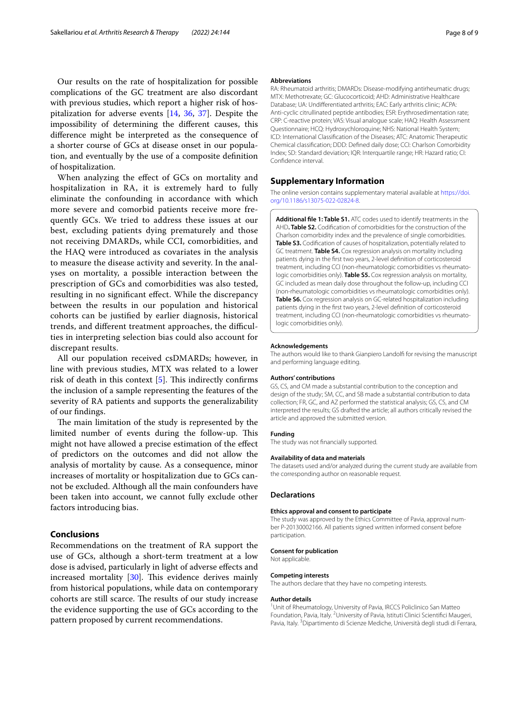Our results on the rate of hospitalization for possible complications of the GC treatment are also discordant with previous studies, which report a higher risk of hospitalization for adverse events [[14,](#page-8-12) [36,](#page-8-34) [37\]](#page-8-35). Despite the impossibility of determining the diferent causes, this diference might be interpreted as the consequence of a shorter course of GCs at disease onset in our population, and eventually by the use of a composite defnition of hospitalization.

When analyzing the efect of GCs on mortality and hospitalization in RA, it is extremely hard to fully eliminate the confounding in accordance with which more severe and comorbid patients receive more frequently GCs. We tried to address these issues at our best, excluding patients dying prematurely and those not receiving DMARDs, while CCI, comorbidities, and the HAQ were introduced as covariates in the analysis to measure the disease activity and severity. In the analyses on mortality, a possible interaction between the prescription of GCs and comorbidities was also tested, resulting in no signifcant efect. While the discrepancy between the results in our population and historical cohorts can be justifed by earlier diagnosis, historical trends, and different treatment approaches, the difficulties in interpreting selection bias could also account for discrepant results.

All our population received csDMARDs; however, in line with previous studies, MTX was related to a lower risk of death in this context  $[5]$  $[5]$ . This indirectly confirms the inclusion of a sample representing the features of the severity of RA patients and supports the generalizability of our fndings.

The main limitation of the study is represented by the limited number of events during the follow-up. This might not have allowed a precise estimation of the efect of predictors on the outcomes and did not allow the analysis of mortality by cause. As a consequence, minor increases of mortality or hospitalization due to GCs cannot be excluded. Although all the main confounders have been taken into account, we cannot fully exclude other factors introducing bias.

## **Conclusions**

Recommendations on the treatment of RA support the use of GCs, although a short-term treatment at a low dose is advised, particularly in light of adverse efects and increased mortality  $[30]$  $[30]$ . This evidence derives mainly from historical populations, while data on contemporary cohorts are still scarce. The results of our study increase the evidence supporting the use of GCs according to the pattern proposed by current recommendations.

#### **Abbreviations**

RA: Rheumatoid arthritis; DMARDs: Disease-modifying antirheumatic drugs; MTX: Methotrexate; GC: Glucocorticoid; AHD: Administrative Healthcare Database; UA: Undiferentiated arthritis; EAC: Early arthritis clinic; ACPA: Anti-cyclic citrullinated peptide antibodies; ESR: Erythrosedimentation rate; CRP: C-reactive protein; VAS: Visual analogue scale; HAQ: Health Assessment Questionnaire; HCQ: Hydroxychloroquine; NHS: National Health System; ICD: International Classifcation of the Diseases; ATC: Anatomic Therapeutic Chemical classifcation; DDD: Defned daily dose; CCI: Charlson Comorbidity Index; SD: Standard deviation; IQR: Interquartile range; HR: Hazard ratio; CI: Confdence interval.

#### **Supplementary Information**

The online version contains supplementary material available at [https://doi.](https://doi.org/10.1186/s13075-022-02824-8) [org/10.1186/s13075-022-02824-8](https://doi.org/10.1186/s13075-022-02824-8).

<span id="page-7-0"></span>**Additional fle 1: Table S1.** ATC codes used to identify treatments in the AHD**. Table S2.** Codifcation of comorbidities for the construction of the Charlson comorbidity index and the prevalence of single comorbidities. **Table S3.** Codifcation of causes of hospitalization, potentially related to GC treatment. **Table S4.** Cox regression analysis on mortality including patients dying in the frst two years, 2-level defnition of corticosteroid treatment, including CCI (non-rheumatologic comorbidities vs rheumatologic comorbidities only). **Table S5.** Cox regression analysis on mortality, GC included as mean daily dose throughout the follow-up, including CCI (non-rheumatologic comorbidities vs rheumatologic comorbidities only). **Table S6.** Cox regression analysis on GC-related hospitalization including patients dying in the frst two years, 2-level defnition of corticosteroid treatment, including CCI (non-rheumatologic comorbidities vs rheumatologic comorbidities only).

#### **Acknowledgements**

The authors would like to thank Gianpiero Landolf for revising the manuscript and performing language editing.

#### **Authors' contributions**

GS, CS, and CM made a substantial contribution to the conception and design of the study; SM, CC, and SB made a substantial contribution to data collection; FR, GC, and AZ performed the statistical analysis; GS, CS, and CM interpreted the results; GS drafted the article; all authors critically revised the article and approved the submitted version.

#### **Funding**

The study was not fnancially supported.

## **Availability of data and materials**

The datasets used and/or analyzed during the current study are available from the corresponding author on reasonable request.

#### **Declarations**

#### **Ethics approval and consent to participate**

The study was approved by the Ethics Committee of Pavia, approval number P-20130002166. All patients signed written informed consent before participation.

#### **Consent for publication**

Not applicable.

#### **Competing interests**

The authors declare that they have no competing interests.

#### **Author details**

<sup>1</sup> Unit of Rheumatology, University of Pavia, IRCCS Policlinico San Matteo Foundation, Pavia, Italy. <sup>2</sup> University of Pavia, Istituti Clinici Scientifici Maugeri, Pavia, Italy. <sup>3</sup> Dipartimento di Scienze Mediche, Università degli studi di Ferrara,